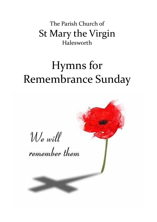The Parish Church of St Mary the Virgin Halesworth

## Hymns for Remembrance Sunday

We will remember them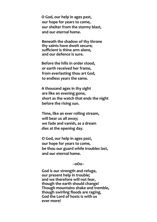**O God, our help in ages past, our hope for years to come, our shelter from the stormy blast, and our eternal home.**

**Beneath the shadow of thy throne thy saints have dwelt secure; sufficient is thine arm alone, and our defence is sure.**

**Before the hills in order stood, or earth received her frame, from everlasting thou art God, to endless years the same.**

**A thousand ages in thy sight are like an evening gone, short as the watch that ends the night before the rising sun.**

**Time, like an ever rolling stream, will bear us all away; we fade and vanish, as a dream dies at the opening day.**

**O God, our help in ages past, our hope for years to come, be thou our guard while troubles last, and our eternal home.**

**--oOo--**

**God is our strength and refuge, our present help in trouble; and we therefore will not fear, though the earth should change! Though mountains shake and tremble, though swirling floods are raging, God the Lord of hosts is with us ever more!**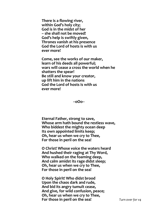**There is a flowing river, within God's holy city; God is in the midst of her – she shall not be moved! God's help is swiftly given, Thrones vanish at his presence God the Lord of hosts is with us ever more!**

**Come, see the works of our maker, learn of his deeds all powerful; wars will cease a cross the world when he shatters the spear! Be still and know your creator, up lift him in the nations God the Lord of hosts is with us ever more!**

**--oOo--**

**Eternal Father, strong to save, Whose arm hath bound the restless wave, Who biddest the mighty ocean deep Its own appointed limits keep; Oh, hear us when we cry to Thee, For those in peril on the sea!**

**O Christ! Whose voice the waters heard And hushed their raging at Thy Word, Who walked on the foaming deep, And calm amidst its rage didst sleep; Oh, hear us when we cry to Thee, For those in peril on the sea!**

**O Holy Spirit! Who didst brood Upon the chaos dark and rude, And bid its angry tumult cease, And give, for wild confusion, peace; Oh, hear us when we cry to Thee, For those in peril on the sea!** *Turn over for v4*